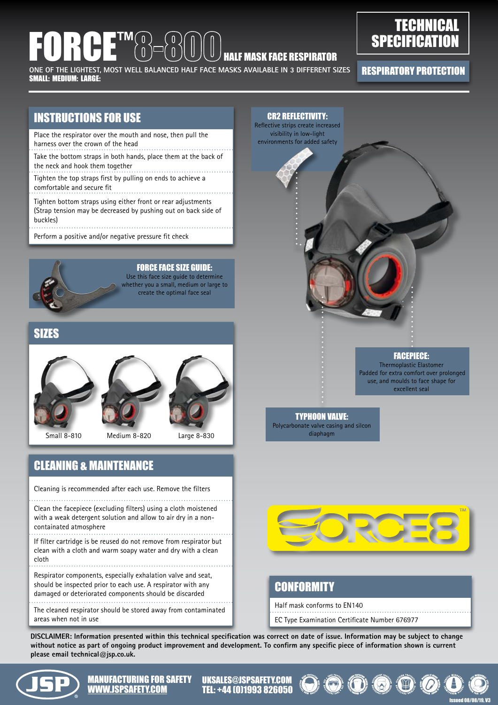# FORCE™ HALF MASK FACE RESPIRATOR

ONE OF THE LIGHTEST, MOST WELL BALANCED HALF FACE MASKS AVAILABLE IN 3 DIFFERENT SIZES FRE**SPIRATORY PROTECTION**<br>All all altaware large SMALL: MEDIUM: LARGE:

# **TECHNICAL SPECIFICATION**

### INSTRUCTIONS FOR USE

- Place the respirator over the mouth and nose, then pull the harness over the crown of the head
- Take the bottom straps in both hands, place them at the back of the neck and hook them together
- Tighten the top straps first by pulling on ends to achieve a comfortable and secure fit
- Tighten bottom straps using either front or rear adjustments (Strap tension may be decreased by pushing out on back side of buckles)

Perform a positive and/or negative pressure fit check



 FORCE FACE SIZE GUIDE: Use this face size guide to determine whether you a small, medium or large to

create the optimal face seal

### SIZES





Small 8-810 Medium 8-820 Large 8-830

### CLEANING & MAINTENANCE

Cleaning is recommended after each use. Remove the filters

Clean the facepiece (excluding filters) using a cloth moistened with a weak detergent solution and allow to air dry in a noncontainated atmosphere

If filter cartridge is be reused do not remove from respirator but clean with a cloth and warm soapy water and dry with a clean cloth

Respirator components, especially exhalation valve and seat, should be inspected prior to each use. A respirator with any damaged or deteriorated components should be discarded

The cleaned respirator should be stored away from contaminated areas when not in use





### **CONFORMITY**

Half mask conforms to EN140 EC Type Examination Certificate Number 676977

**DISCLAIMER: Information presented within this technical specification was correct on date of issue. Information may be subject to change without notice as part of ongoing product improvement and development. To confirm any specific piece of information shown is current please email technical@jsp.co.uk.**



MANUFACTURING FOR SAFETY WWW.JSPSAFETY.COM TEL: +44 (0)1993 826050  $\mathbf{W}\mathbf{W}\mathbf{W}$ 

UKSALES@JSPSAFETY.COM TEL: +44 (0)1993 826050